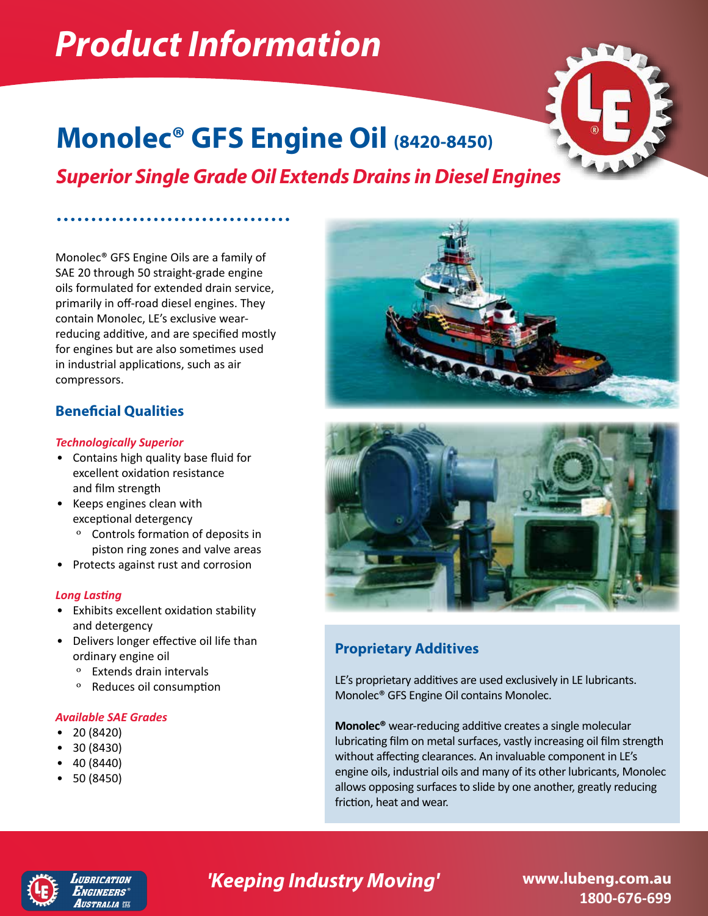# *Product Information*



## **Monolec® GFS Engine Oil (8420-8450)**

*Superior Single Grade Oil Extends Drains in Diesel Engines*

Monolec® GFS Engine Oils are a family of SAE 20 through 50 straight-grade engine oils formulated for extended drain service, primarily in off-road diesel engines. They contain Monolec, LE's exclusive wearreducing additive, and are specified mostly for engines but are also sometimes used in industrial applications, such as air compressors.

## **Beneficial Qualities**

### *Technologically Superior*

- Contains high quality base fluid for excellent oxidation resistance and film strength
- Keeps engines clean with exceptional detergency
	- º Controls formation of deposits in piston ring zones and valve areas
- Protects against rust and corrosion

## *Long Lasting*

- Exhibits excellent oxidation stability and detergency
- Delivers longer effective oil life than ordinary engine oil
	- º Extends drain intervals
	- º Reduces oil consumption

### *Available SAE Grades*

- 20 (8420)
- 30 (8430)
- 40 (8440)
- 50 (8450)





## **Proprietary Additives**

LE's proprietary additives are used exclusively in LE lubricants. Monolec® GFS Engine Oil contains Monolec.

**Monolec®** wear-reducing additive creates a single molecular lubricating film on metal surfaces, vastly increasing oil film strength without affecting clearances. An invaluable component in LE's engine oils, industrial oils and many of its other lubricants, Monolec allows opposing surfaces to slide by one another, greatly reducing friction, heat and wear.



#### **IIRRICATION**  $E$ ngineers $^\circ$ Australia ee

## **'Keeping Industry Moving' www.lubeng.com.au**

**1800-676-699**